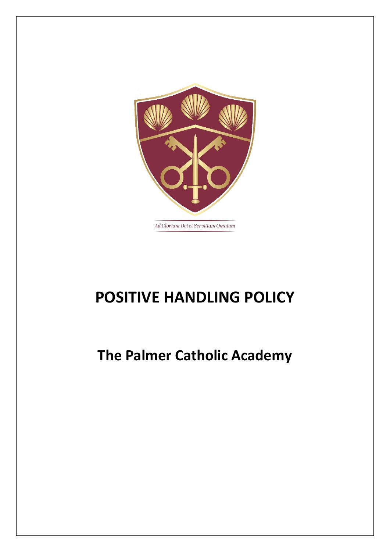

# **POSITIVE HANDLING POLICY**

# **The Palmer Catholic Academy**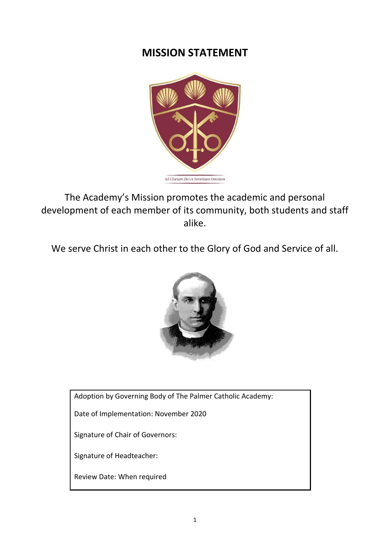### **MISSION STATEMENT**



The Academy's Mission promotes the academic and personal development of each member of its community, both students and staff alike.

We serve Christ in each other to the Glory of God and Service of all.



Adoption by Governing Body of The Palmer Catholic Academy:

Date of Implementation: November 2020

Signature of Chair of Governors:

Signature of Headteacher:

Review Date: When required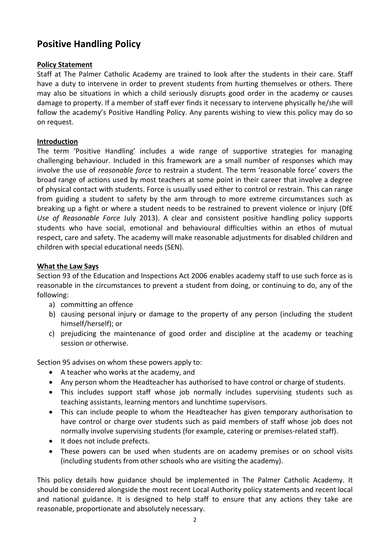### **Positive Handling Policy**

#### **Policy Statement**

Staff at The Palmer Catholic Academy are trained to look after the students in their care. Staff have a duty to intervene in order to prevent students from hurting themselves or others. There may also be situations in which a child seriously disrupts good order in the academy or causes damage to property. If a member of staff ever finds it necessary to intervene physically he/she will follow the academy's Positive Handling Policy. Any parents wishing to view this policy may do so on request.

#### **Introduction**

The term 'Positive Handling' includes a wide range of supportive strategies for managing challenging behaviour. Included in this framework are a small number of responses which may involve the use of *reasonable force* to restrain a student. The term 'reasonable force' covers the broad range of actions used by most teachers at some point in their career that involve a degree of physical contact with students. Force is usually used either to control or restrain. This can range from guiding a student to safety by the arm through to more extreme circumstances such as breaking up a fight or where a student needs to be restrained to prevent violence or injury (DfE *Use of Reasonable Force* July 2013). A clear and consistent positive handling policy supports students who have social, emotional and behavioural difficulties within an ethos of mutual respect, care and safety. The academy will make reasonable adjustments for disabled children and children with special educational needs (SEN).

#### **What the Law Says**

Section 93 of the Education and Inspections Act 2006 enables academy staff to use such force as is reasonable in the circumstances to prevent a student from doing, or continuing to do, any of the following:

- a) committing an offence
- b) causing personal injury or damage to the property of any person (including the student himself/herself); or
- c) prejudicing the maintenance of good order and discipline at the academy or teaching session or otherwise.

Section 95 advises on whom these powers apply to:

- A teacher who works at the academy, and
- Any person whom the Headteacher has authorised to have control or charge of students.
- This includes support staff whose job normally includes supervising students such as teaching assistants, learning mentors and lunchtime supervisors.
- This can include people to whom the Headteacher has given temporary authorisation to have control or charge over students such as paid members of staff whose job does not normally involve supervising students (for example, catering or premises-related staff).
- It does not include prefects.
- These powers can be used when students are on academy premises or on school visits (including students from other schools who are visiting the academy).

This policy details how guidance should be implemented in The Palmer Catholic Academy. It should be considered alongside the most recent Local Authority policy statements and recent local and national guidance. It is designed to help staff to ensure that any actions they take are reasonable, proportionate and absolutely necessary.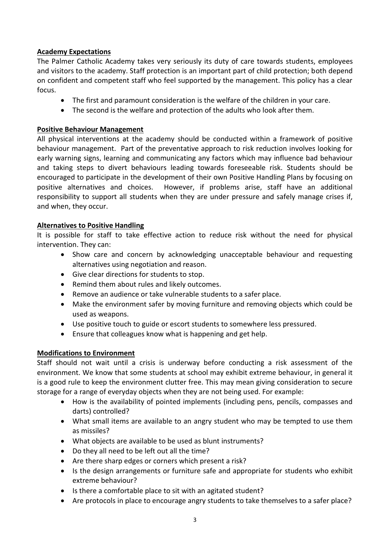#### **Academy Expectations**

The Palmer Catholic Academy takes very seriously its duty of care towards students, employees and visitors to the academy. Staff protection is an important part of child protection; both depend on confident and competent staff who feel supported by the management. This policy has a clear focus.

- The first and paramount consideration is the welfare of the children in your care.
- The second is the welfare and protection of the adults who look after them.

#### **Positive Behaviour Management**

All physical interventions at the academy should be conducted within a framework of positive behaviour management. Part of the preventative approach to risk reduction involves looking for early warning signs, learning and communicating any factors which may influence bad behaviour and taking steps to divert behaviours leading towards foreseeable risk. Students should be encouraged to participate in the development of their own Positive Handling Plans by focusing on positive alternatives and choices. However, if problems arise, staff have an additional responsibility to support all students when they are under pressure and safely manage crises if, and when, they occur.

#### **Alternatives to Positive Handling**

It is possible for staff to take effective action to reduce risk without the need for physical intervention. They can:

- Show care and concern by acknowledging unacceptable behaviour and requesting alternatives using negotiation and reason.
- Give clear directions for students to stop.
- Remind them about rules and likely outcomes.
- Remove an audience or take vulnerable students to a safer place.
- Make the environment safer by moving furniture and removing objects which could be used as weapons.
- Use positive touch to guide or escort students to somewhere less pressured.
- Ensure that colleagues know what is happening and get help.

#### **Modifications to Environment**

Staff should not wait until a crisis is underway before conducting a risk assessment of the environment. We know that some students at school may exhibit extreme behaviour, in general it is a good rule to keep the environment clutter free. This may mean giving consideration to secure storage for a range of everyday objects when they are not being used. For example:

- How is the availability of pointed implements (including pens, pencils, compasses and darts) controlled?
- What small items are available to an angry student who may be tempted to use them as missiles?
- What objects are available to be used as blunt instruments?
- Do they all need to be left out all the time?
- Are there sharp edges or corners which present a risk?
- Is the design arrangements or furniture safe and appropriate for students who exhibit extreme behaviour?
- Is there a comfortable place to sit with an agitated student?
- Are protocols in place to encourage angry students to take themselves to a safer place?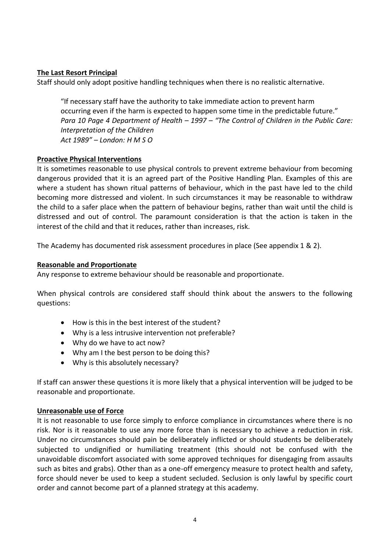#### **The Last Resort Principal**

Staff should only adopt positive handling techniques when there is no realistic alternative.

"If necessary staff have the authority to take immediate action to prevent harm occurring even if the harm is expected to happen some time in the predictable future." *Para 10 Page 4 Department of Health – 1997 – "The Control of Children in the Public Care: Interpretation of the Children Act 1989" – London: H M S O*

#### **Proactive Physical Interventions**

It is sometimes reasonable to use physical controls to prevent extreme behaviour from becoming dangerous provided that it is an agreed part of the Positive Handling Plan. Examples of this are where a student has shown ritual patterns of behaviour, which in the past have led to the child becoming more distressed and violent. In such circumstances it may be reasonable to withdraw the child to a safer place when the pattern of behaviour begins, rather than wait until the child is distressed and out of control. The paramount consideration is that the action is taken in the interest of the child and that it reduces, rather than increases, risk.

The Academy has documented risk assessment procedures in place (See appendix 1 & 2).

#### **Reasonable and Proportionate**

Any response to extreme behaviour should be reasonable and proportionate.

When physical controls are considered staff should think about the answers to the following questions:

- How is this in the best interest of the student?
- Why is a less intrusive intervention not preferable?
- Why do we have to act now?
- Why am I the best person to be doing this?
- Why is this absolutely necessary?

If staff can answer these questions it is more likely that a physical intervention will be judged to be reasonable and proportionate.

#### **Unreasonable use of Force**

It is not reasonable to use force simply to enforce compliance in circumstances where there is no risk. Nor is it reasonable to use any more force than is necessary to achieve a reduction in risk. Under no circumstances should pain be deliberately inflicted or should students be deliberately subjected to undignified or humiliating treatment (this should not be confused with the unavoidable discomfort associated with some approved techniques for disengaging from assaults such as bites and grabs). Other than as a one-off emergency measure to protect health and safety, force should never be used to keep a student secluded. Seclusion is only lawful by specific court order and cannot become part of a planned strategy at this academy.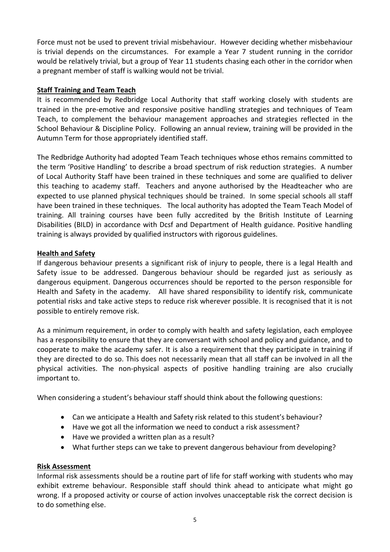Force must not be used to prevent trivial misbehaviour. However deciding whether misbehaviour is trivial depends on the circumstances. For example a Year 7 student running in the corridor would be relatively trivial, but a group of Year 11 students chasing each other in the corridor when a pregnant member of staff is walking would not be trivial.

#### **Staff Training and Team Teach**

It is recommended by Redbridge Local Authority that staff working closely with students are trained in the pre-emotive and responsive positive handling strategies and techniques of Team Teach, to complement the behaviour management approaches and strategies reflected in the School Behaviour & Discipline Policy. Following an annual review, training will be provided in the Autumn Term for those appropriately identified staff.

The Redbridge Authority had adopted Team Teach techniques whose ethos remains committed to the term 'Positive Handling' to describe a broad spectrum of risk reduction strategies. A number of Local Authority Staff have been trained in these techniques and some are qualified to deliver this teaching to academy staff. Teachers and anyone authorised by the Headteacher who are expected to use planned physical techniques should be trained. In some special schools all staff have been trained in these techniques. The local authority has adopted the Team Teach Model of training. All training courses have been fully accredited by the British Institute of Learning Disabilities (BILD) in accordance with Dcsf and Department of Health guidance. Positive handling training is always provided by qualified instructors with rigorous guidelines.

#### **Health and Safety**

If dangerous behaviour presents a significant risk of injury to people, there is a legal Health and Safety issue to be addressed. Dangerous behaviour should be regarded just as seriously as dangerous equipment. Dangerous occurrences should be reported to the person responsible for Health and Safety in the academy. All have shared responsibility to identify risk, communicate potential risks and take active steps to reduce risk wherever possible. It is recognised that it is not possible to entirely remove risk.

As a minimum requirement, in order to comply with health and safety legislation, each employee has a responsibility to ensure that they are conversant with school and policy and guidance, and to cooperate to make the academy safer. It is also a requirement that they participate in training if they are directed to do so. This does not necessarily mean that all staff can be involved in all the physical activities. The non-physical aspects of positive handling training are also crucially important to.

When considering a student's behaviour staff should think about the following questions:

- Can we anticipate a Health and Safety risk related to this student's behaviour?
- Have we got all the information we need to conduct a risk assessment?
- Have we provided a written plan as a result?
- What further steps can we take to prevent dangerous behaviour from developing?

#### **Risk Assessment**

Informal risk assessments should be a routine part of life for staff working with students who may exhibit extreme behaviour. Responsible staff should think ahead to anticipate what might go wrong. If a proposed activity or course of action involves unacceptable risk the correct decision is to do something else.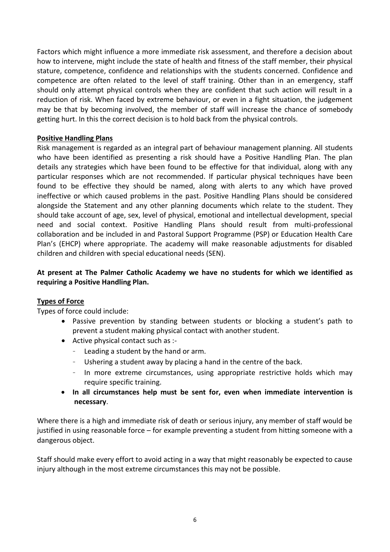Factors which might influence a more immediate risk assessment, and therefore a decision about how to intervene, might include the state of health and fitness of the staff member, their physical stature, competence, confidence and relationships with the students concerned. Confidence and competence are often related to the level of staff training. Other than in an emergency, staff should only attempt physical controls when they are confident that such action will result in a reduction of risk. When faced by extreme behaviour, or even in a fight situation, the judgement may be that by becoming involved, the member of staff will increase the chance of somebody getting hurt. In this the correct decision is to hold back from the physical controls.

#### **Positive Handling Plans**

Risk management is regarded as an integral part of behaviour management planning. All students who have been identified as presenting a risk should have a Positive Handling Plan. The plan details any strategies which have been found to be effective for that individual, along with any particular responses which are not recommended. If particular physical techniques have been found to be effective they should be named, along with alerts to any which have proved ineffective or which caused problems in the past. Positive Handling Plans should be considered alongside the Statement and any other planning documents which relate to the student. They should take account of age, sex, level of physical, emotional and intellectual development, special need and social context. Positive Handling Plans should result from multi-professional collaboration and be included in and Pastoral Support Programme (PSP) or Education Health Care Plan's (EHCP) where appropriate. The academy will make reasonable adjustments for disabled children and children with special educational needs (SEN).

#### **At present at The Palmer Catholic Academy we have no students for which we identified as requiring a Positive Handling Plan.**

#### **Types of Force**

Types of force could include:

- Passive prevention by standing between students or blocking a student's path to prevent a student making physical contact with another student.
- Active physical contact such as :-
	- Leading a student by the hand or arm.
	- Ushering a student away by placing a hand in the centre of the back.
	- In more extreme circumstances, using appropriate restrictive holds which may require specific training.
- **In all circumstances help must be sent for, even when immediate intervention is necessary**.

Where there is a high and immediate risk of death or serious injury, any member of staff would be justified in using reasonable force – for example preventing a student from hitting someone with a dangerous object.

Staff should make every effort to avoid acting in a way that might reasonably be expected to cause injury although in the most extreme circumstances this may not be possible.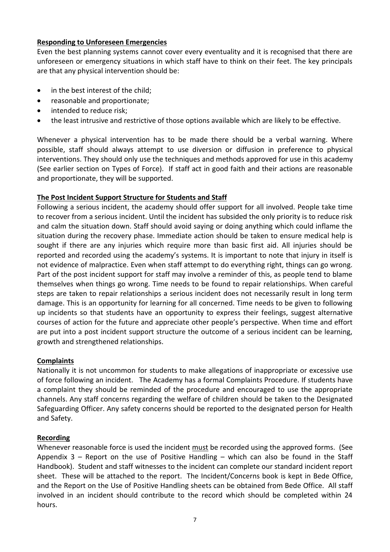#### **Responding to Unforeseen Emergencies**

Even the best planning systems cannot cover every eventuality and it is recognised that there are unforeseen or emergency situations in which staff have to think on their feet. The key principals are that any physical intervention should be:

- in the best interest of the child:
- reasonable and proportionate;
- intended to reduce risk;
- the least intrusive and restrictive of those options available which are likely to be effective.

Whenever a physical intervention has to be made there should be a verbal warning. Where possible, staff should always attempt to use diversion or diffusion in preference to physical interventions. They should only use the techniques and methods approved for use in this academy (See earlier section on Types of Force). If staff act in good faith and their actions are reasonable and proportionate, they will be supported.

#### **The Post Incident Support Structure for Students and Staff**

Following a serious incident, the academy should offer support for all involved. People take time to recover from a serious incident. Until the incident has subsided the only priority is to reduce risk and calm the situation down. Staff should avoid saying or doing anything which could inflame the situation during the recovery phase. Immediate action should be taken to ensure medical help is sought if there are any injuries which require more than basic first aid. All injuries should be reported and recorded using the academy's systems. It is important to note that injury in itself is not evidence of malpractice. Even when staff attempt to do everything right, things can go wrong. Part of the post incident support for staff may involve a reminder of this, as people tend to blame themselves when things go wrong. Time needs to be found to repair relationships. When careful steps are taken to repair relationships a serious incident does not necessarily result in long term damage. This is an opportunity for learning for all concerned. Time needs to be given to following up incidents so that students have an opportunity to express their feelings, suggest alternative courses of action for the future and appreciate other people's perspective. When time and effort are put into a post incident support structure the outcome of a serious incident can be learning, growth and strengthened relationships.

#### **Complaints**

Nationally it is not uncommon for students to make allegations of inappropriate or excessive use of force following an incident. The Academy has a formal Complaints Procedure. If students have a complaint they should be reminded of the procedure and encouraged to use the appropriate channels. Any staff concerns regarding the welfare of children should be taken to the Designated Safeguarding Officer. Any safety concerns should be reported to the designated person for Health and Safety.

#### **Recording**

Whenever reasonable force is used the incident must be recorded using the approved forms. (See Appendix  $3$  – Report on the use of Positive Handling – which can also be found in the Staff Handbook). Student and staff witnesses to the incident can complete our standard incident report sheet. These will be attached to the report. The Incident/Concerns book is kept in Bede Office, and the Report on the Use of Positive Handling sheets can be obtained from Bede Office. All staff involved in an incident should contribute to the record which should be completed within 24 hours.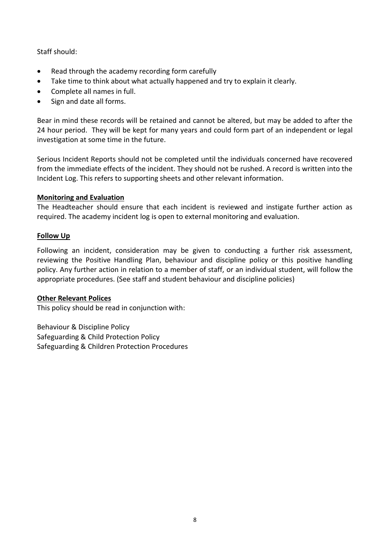Staff should:

- Read through the academy recording form carefully
- Take time to think about what actually happened and try to explain it clearly.
- Complete all names in full.
- Sign and date all forms.

Bear in mind these records will be retained and cannot be altered, but may be added to after the 24 hour period. They will be kept for many years and could form part of an independent or legal investigation at some time in the future.

Serious Incident Reports should not be completed until the individuals concerned have recovered from the immediate effects of the incident. They should not be rushed. A record is written into the Incident Log. This refers to supporting sheets and other relevant information.

#### **Monitoring and Evaluation**

The Headteacher should ensure that each incident is reviewed and instigate further action as required. The academy incident log is open to external monitoring and evaluation.

#### **Follow Up**

Following an incident, consideration may be given to conducting a further risk assessment, reviewing the Positive Handling Plan, behaviour and discipline policy or this positive handling policy. Any further action in relation to a member of staff, or an individual student, will follow the appropriate procedures. (See staff and student behaviour and discipline policies)

#### **Other Relevant Polices**

This policy should be read in conjunction with:

Behaviour & Discipline Policy Safeguarding & Child Protection Policy Safeguarding & Children Protection Procedures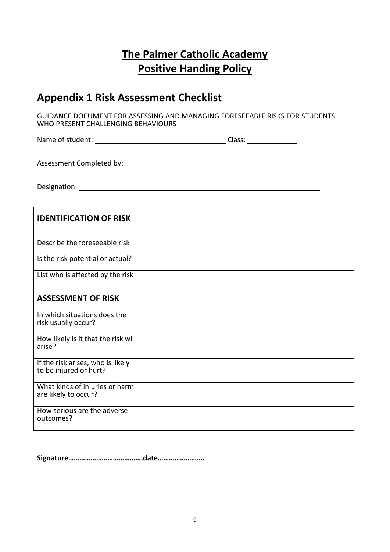## **The Palmer Catholic Academy Positive Handing Policy**

### **Appendix 1 Risk Assessment Checklist**

GUIDANCE DOCUMENT FOR ASSESSING AND MANAGING FORESEEABLE RISKS FOR STUDENTS WHO PRESENT CHALLENGING BEHAVIOURS

Name of student: Class:

Assessment Completed by:

Designation:

| <b>IDENTIFICATION OF RISK</b>                               |  |
|-------------------------------------------------------------|--|
| Describe the foreseeable risk                               |  |
| Is the risk potential or actual?                            |  |
| List who is affected by the risk                            |  |
| <b>ASSESSMENT OF RISK</b>                                   |  |
| In which situations does the<br>risk usually occur?         |  |
| How likely is it that the risk will<br>arise?               |  |
| If the risk arises, who is likely<br>to be injured or hurt? |  |
| What kinds of injuries or harm<br>are likely to occur?      |  |
| How serious are the adverse<br>outcomes?                    |  |

**Signature………………………………….date…………………….**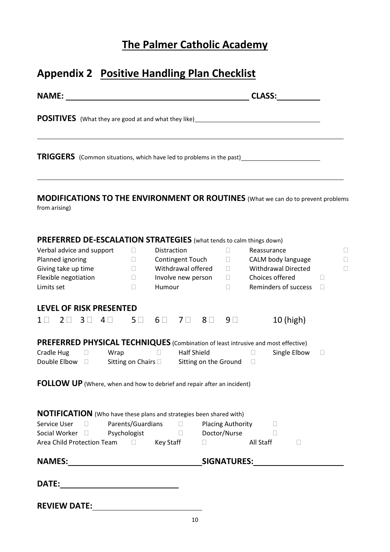## **The Palmer Catholic Academy**

## **Appendix 2 Positive Handling Plan Checklist**

| <b>NAME:</b>                                                                                                                                                                                                                 |                                                                                                                                         |                                             | <b>CLASS:</b>                                                                                                     |                                                    |
|------------------------------------------------------------------------------------------------------------------------------------------------------------------------------------------------------------------------------|-----------------------------------------------------------------------------------------------------------------------------------------|---------------------------------------------|-------------------------------------------------------------------------------------------------------------------|----------------------------------------------------|
|                                                                                                                                                                                                                              |                                                                                                                                         |                                             |                                                                                                                   |                                                    |
| <b>TRIGGERS</b> (Common situations, which have led to problems in the past) _____________________________                                                                                                                    |                                                                                                                                         |                                             |                                                                                                                   |                                                    |
| <b>MODIFICATIONS TO THE ENVIRONMENT OR ROUTINES</b> (What we can do to prevent problems<br>from arising)                                                                                                                     |                                                                                                                                         |                                             |                                                                                                                   |                                                    |
| <b>PREFERRED DE-ESCALATION STRATEGIES</b> (what tends to calm things down)<br>Verbal advice and support<br>Planned ignoring<br>Giving take up time<br>Flexible negotiation<br>Limits set                                     | Distraction<br>$\mathbf{L}$<br><b>Contingent Touch</b><br>П.<br>Withdrawal offered<br>П.<br>Involve new person<br>$\Box$<br>Humour<br>П | $\Box$<br>П<br>П<br>$\mathbb{R}^n$<br>П     | Reassurance<br>CALM body language<br><b>Withdrawal Directed</b><br>Choices offered<br><b>Reminders of success</b> | $\Box$<br>П<br>П<br>$\mathbf{L}$<br>$\mathbb{R}^n$ |
| <b>LEVEL OF RISK PRESENTED</b><br>3 <sup>1</sup><br>$2\Box$<br>4<br>$1 \perp$                                                                                                                                                | $6\Box$<br>7 <sub>1</sub><br>$5\Box$                                                                                                    | $8\Box$<br>9 <sup>0</sup>                   | 10 (high)                                                                                                         |                                                    |
| <b>PREFERRED PHYSICAL TECHNIQUES</b> (Combination of least intrusive and most effective)<br>Cradle Hug<br>Wrap<br>П<br>Double Elbow $\Box$<br><b>FOLLOW UP</b> (Where, when and how to debrief and repair after an incident) | $\Box$<br>Sitting on Chairs D                                                                                                           | <b>Half Shield</b><br>Sitting on the Ground | Single Elbow<br>$\Box$<br>$\mathbf{L}$                                                                            | Ш                                                  |
| <b>NOTIFICATION</b> (Who have these plans and strategies been shared with)<br>Service User                                                                                                                                   | □ Parents/Guardians □ Placing Authority □                                                                                               |                                             | $\Box$ All Staff<br>$\Box$                                                                                        |                                                    |
|                                                                                                                                                                                                                              |                                                                                                                                         |                                             |                                                                                                                   |                                                    |
| <b>REVIEW DATE:</b>                                                                                                                                                                                                          |                                                                                                                                         |                                             |                                                                                                                   |                                                    |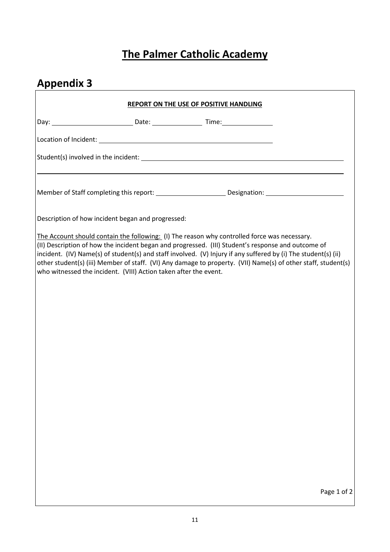## **The Palmer Catholic Academy**

<u> 1980 - Johann Barbara, martxa amerikan personal (h. 1980).</u>

# **Appendix 3**

| <b>REPORT ON THE USE OF POSITIVE HANDLING</b>                                                                                                                                                                                                                                                                                                                                                                                                                                                             |
|-----------------------------------------------------------------------------------------------------------------------------------------------------------------------------------------------------------------------------------------------------------------------------------------------------------------------------------------------------------------------------------------------------------------------------------------------------------------------------------------------------------|
|                                                                                                                                                                                                                                                                                                                                                                                                                                                                                                           |
|                                                                                                                                                                                                                                                                                                                                                                                                                                                                                                           |
|                                                                                                                                                                                                                                                                                                                                                                                                                                                                                                           |
|                                                                                                                                                                                                                                                                                                                                                                                                                                                                                                           |
|                                                                                                                                                                                                                                                                                                                                                                                                                                                                                                           |
| Description of how incident began and progressed:                                                                                                                                                                                                                                                                                                                                                                                                                                                         |
| The Account should contain the following: (I) The reason why controlled force was necessary.<br>(II) Description of how the incident began and progressed. (III) Student's response and outcome of<br>incident. (IV) Name(s) of student(s) and staff involved. (V) Injury if any suffered by (i) The student(s) (ii)<br>other student(s) (iii) Member of staff. (VI) Any damage to property. (VII) Name(s) of other staff, student(s)<br>who witnessed the incident. (VIII) Action taken after the event. |
|                                                                                                                                                                                                                                                                                                                                                                                                                                                                                                           |
|                                                                                                                                                                                                                                                                                                                                                                                                                                                                                                           |
|                                                                                                                                                                                                                                                                                                                                                                                                                                                                                                           |
|                                                                                                                                                                                                                                                                                                                                                                                                                                                                                                           |
|                                                                                                                                                                                                                                                                                                                                                                                                                                                                                                           |
|                                                                                                                                                                                                                                                                                                                                                                                                                                                                                                           |
|                                                                                                                                                                                                                                                                                                                                                                                                                                                                                                           |
|                                                                                                                                                                                                                                                                                                                                                                                                                                                                                                           |
|                                                                                                                                                                                                                                                                                                                                                                                                                                                                                                           |
| Page 1 of 2                                                                                                                                                                                                                                                                                                                                                                                                                                                                                               |